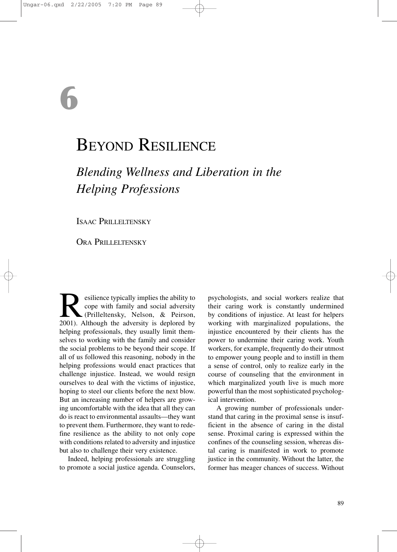**6**

# BEYOND RESILIENCE

# *Blending Wellness and Liberation in the Helping Professions*

ISAAC PRILLELTENSKY

ORA PRILLELTENSKY

Resilience typically implies the ability to<br>cope with family and social adversity<br>(Prilleltensky, Nelson, & Peirson,<br>2001). Although the adversity is deplored by cope with family and social adversity (Prilleltensky, Nelson, & Peirson, 2001). Although the adversity is deplored by helping professionals, they usually limit themselves to working with the family and consider the social problems to be beyond their scope. If all of us followed this reasoning, nobody in the helping professions would enact practices that challenge injustice. Instead, we would resign ourselves to deal with the victims of injustice, hoping to steel our clients before the next blow. But an increasing number of helpers are growing uncomfortable with the idea that all they can do is react to environmental assaults—they want to prevent them. Furthermore, they want to redefine resilience as the ability to not only cope with conditions related to adversity and injustice but also to challenge their very existence.

Indeed, helping professionals are struggling to promote a social justice agenda. Counselors, psychologists, and social workers realize that their caring work is constantly undermined by conditions of injustice. At least for helpers working with marginalized populations, the injustice encountered by their clients has the power to undermine their caring work. Youth workers, for example, frequently do their utmost to empower young people and to instill in them a sense of control, only to realize early in the course of counseling that the environment in which marginalized youth live is much more powerful than the most sophisticated psychological intervention.

A growing number of professionals understand that caring in the proximal sense is insufficient in the absence of caring in the distal sense. Proximal caring is expressed within the confines of the counseling session, whereas distal caring is manifested in work to promote justice in the community. Without the latter, the former has meager chances of success. Without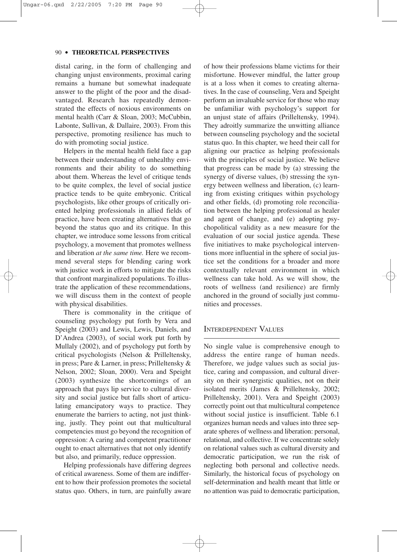distal caring, in the form of challenging and changing unjust environments, proximal caring remains a humane but somewhat inadequate answer to the plight of the poor and the disadvantaged. Research has repeatedly demonstrated the effects of noxious environments on mental health (Carr & Sloan, 2003; McCubbin, Labonte, Sullivan, & Dallaire, 2003). From this perspective, promoting resilience has much to do with promoting social justice.

Helpers in the mental health field face a gap between their understanding of unhealthy environments and their ability to do something about them. Whereas the level of critique tends to be quite complex, the level of social justice practice tends to be quite embryonic. Critical psychologists, like other groups of critically oriented helping professionals in allied fields of practice, have been creating alternatives that go beyond the status quo and its critique. In this chapter, we introduce some lessons from critical psychology, a movement that promotes wellness and liberation *at the same time.* Here we recommend several steps for blending caring work with justice work in efforts to mitigate the risks that confront marginalized populations. To illustrate the application of these recommendations, we will discuss them in the context of people with physical disabilities.

There is commonality in the critique of counseling psychology put forth by Vera and Speight (2003) and Lewis, Lewis, Daniels, and D'Andrea (2003), of social work put forth by Mullaly (2002), and of psychology put forth by critical psychologists (Nelson & Prilleltensky, in press; Pare & Larner, in press; Prilleltensky & Nelson, 2002; Sloan, 2000). Vera and Speight (2003) synthesize the shortcomings of an approach that pays lip service to cultural diversity and social justice but falls short of articulating emancipatory ways to practice. They enumerate the barriers to acting, not just thinking, justly. They point out that multicultural competencies must go beyond the recognition of oppression: A caring and competent practitioner ought to enact alternatives that not only identify but also, and primarily, reduce oppression.

Helping professionals have differing degrees of critical awareness. Some of them are indifferent to how their profession promotes the societal status quo. Others, in turn, are painfully aware of how their professions blame victims for their misfortune. However mindful, the latter group is at a loss when it comes to creating alternatives. In the case of counseling, Vera and Speight perform an invaluable service for those who may be unfamiliar with psychology's support for an unjust state of affairs (Prilleltensky, 1994). They adroitly summarize the unwitting alliance between counseling psychology and the societal status quo. In this chapter, we heed their call for aligning our practice as helping professionals with the principles of social justice. We believe that progress can be made by (a) stressing the synergy of diverse values, (b) stressing the synergy between wellness and liberation, (c) learning from existing critiques within psychology and other fields, (d) promoting role reconciliation between the helping professional as healer and agent of change, and (e) adopting psychopolitical validity as a new measure for the evaluation of our social justice agenda. These five initiatives to make psychological interventions more influential in the sphere of social justice set the conditions for a broader and more contextually relevant environment in which wellness can take hold. As we will show, the roots of wellness (and resilience) are firmly anchored in the ground of socially just communities and processes.

# INTERDEPENDENT VALUES

No single value is comprehensive enough to address the entire range of human needs. Therefore, we judge values such as social justice, caring and compassion, and cultural diversity on their synergistic qualities, not on their isolated merits (James & Prilleltensky, 2002; Prilleltensky, 2001). Vera and Speight (2003) correctly point out that multicultural competence without social justice is insufficient. Table 6.1 organizes human needs and values into three separate spheres of wellness and liberation: personal, relational, and collective. If we concentrate solely on relational values such as cultural diversity and democratic participation, we run the risk of neglecting both personal and collective needs. Similarly, the historical focus of psychology on self-determination and health meant that little or no attention was paid to democratic participation,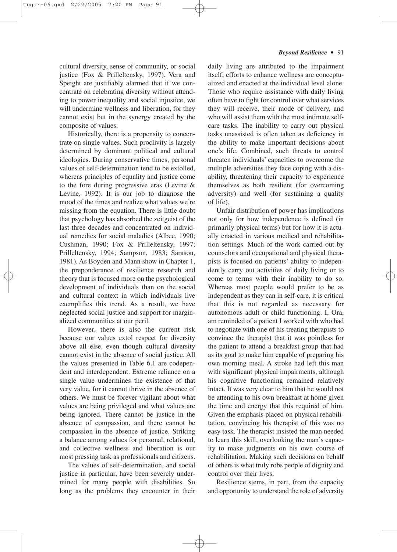cultural diversity, sense of community, or social justice (Fox & Prilleltensky, 1997). Vera and Speight are justifiably alarmed that if we concentrate on celebrating diversity without attending to power inequality and social injustice, we will undermine wellness and liberation, for they cannot exist but in the synergy created by the composite of values.

Historically, there is a propensity to concentrate on single values. Such proclivity is largely determined by dominant political and cultural ideologies. During conservative times, personal values of self-determination tend to be extolled, whereas principles of equality and justice come to the fore during progressive eras (Levine & Levine, 1992). It is our job to diagnose the mood of the times and realize what values we're missing from the equation. There is little doubt that psychology has absorbed the zeitgeist of the last three decades and concentrated on individual remedies for social maladies (Albee, 1990; Cushman, 1990; Fox & Prilleltensky, 1997; Prilleltensky, 1994; Sampson, 1983; Sarason, 1981). As Boyden and Mann show in Chapter 1, the preponderance of resilience research and theory that is focused more on the psychological development of individuals than on the social and cultural context in which individuals live exemplifies this trend. As a result, we have neglected social justice and support for marginalized communities at our peril.

However, there is also the current risk because our values extol respect for diversity above all else, even though cultural diversity cannot exist in the absence of social justice. All the values presented in Table 6.1 are codependent and interdependent. Extreme reliance on a single value undermines the existence of that very value, for it cannot thrive in the absence of others. We must be forever vigilant about what values are being privileged and what values are being ignored. There cannot be justice in the absence of compassion, and there cannot be compassion in the absence of justice. Striking a balance among values for personal, relational, and collective wellness and liberation is our most pressing task as professionals and citizens.

The values of self-determination, and social justice in particular, have been severely undermined for many people with disabilities. So long as the problems they encounter in their

#### *Beyond Resilience*–•–91

daily living are attributed to the impairment itself, efforts to enhance wellness are conceptualized and enacted at the individual level alone. Those who require assistance with daily living often have to fight for control over what services they will receive, their mode of delivery, and who will assist them with the most intimate selfcare tasks. The inability to carry out physical tasks unassisted is often taken as deficiency in the ability to make important decisions about one's life. Combined, such threats to control threaten individuals' capacities to overcome the multiple adversities they face coping with a disability, threatening their capacity to experience themselves as both resilient (for overcoming adversity) and well (for sustaining a quality of life).

Unfair distribution of power has implications not only for how independence is defined (in primarily physical terms) but for how it is actually enacted in various medical and rehabilitation settings. Much of the work carried out by counselors and occupational and physical therapists is focused on patients' ability to independently carry out activities of daily living or to come to terms with their inability to do so. Whereas most people would prefer to be as independent as they can in self-care, it is critical that this is not regarded as necessary for autonomous adult or child functioning. I, Ora, am reminded of a patient I worked with who had to negotiate with one of his treating therapists to convince the therapist that it was pointless for the patient to attend a breakfast group that had as its goal to make him capable of preparing his own morning meal. A stroke had left this man with significant physical impairments, although his cognitive functioning remained relatively intact. It was very clear to him that he would not be attending to his own breakfast at home given the time and energy that this required of him. Given the emphasis placed on physical rehabilitation, convincing his therapist of this was no easy task. The therapist insisted the man needed to learn this skill, overlooking the man's capacity to make judgments on his own course of rehabilitation. Making such decisions on behalf of others is what truly robs people of dignity and control over their lives.

Resilience stems, in part, from the capacity and opportunity to understand the role of adversity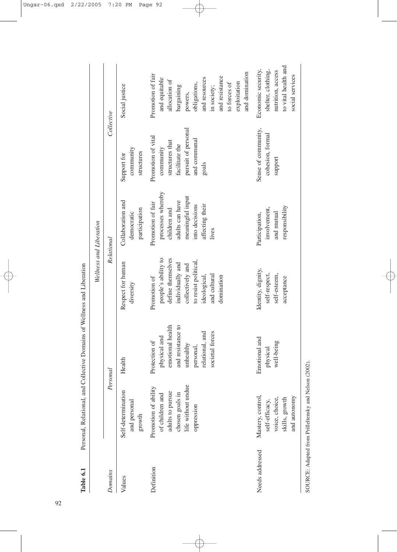| $\ddot{\phantom{a}}$<br>،<br>ت<br><b>TELLINE</b><br>.<br>.<br>$\ddot{\phantom{0}}$<br>:<br>< |  |
|----------------------------------------------------------------------------------------------|--|
| .<br>1                                                                                       |  |
| $\frac{1}{2}$<br>ĺ<br>į                                                                      |  |

92

|                 |                                                                                                                    |                                                                                                                                        |                                                                                                                                                                        | Wellness and Liberation                                                                                                                     |                                                                                                                      |                                                                                                                                                                                                  |
|-----------------|--------------------------------------------------------------------------------------------------------------------|----------------------------------------------------------------------------------------------------------------------------------------|------------------------------------------------------------------------------------------------------------------------------------------------------------------------|---------------------------------------------------------------------------------------------------------------------------------------------|----------------------------------------------------------------------------------------------------------------------|--------------------------------------------------------------------------------------------------------------------------------------------------------------------------------------------------|
| Domains         |                                                                                                                    | Personal                                                                                                                               |                                                                                                                                                                        | Relational                                                                                                                                  |                                                                                                                      | Collective                                                                                                                                                                                       |
| Values          | Self-determination<br>and personal<br>growth                                                                       | Health                                                                                                                                 | Respect for human<br>diversity                                                                                                                                         | Collaboration and<br>participation<br>democratic                                                                                            | community<br>structures<br>Support for                                                                               | Social justice                                                                                                                                                                                   |
| Definition      | life without undue<br>Promotion of ability<br>adults to pursue<br>chosen goals in<br>of children and<br>oppression | emotional health<br>and resistance to<br>societal forces<br>relational, and<br>physical and<br>Protection of<br>unhealthy<br>personal, | people's ability to<br>define themselves<br>to resist political,<br>individually and<br>collectively and<br>ideological,<br>and cultural<br>Promotion of<br>domination | processes whereby<br>meaningful input<br>adults can have<br>Promotion of fair<br>into decisions<br>affecting their<br>children and<br>lives | pursuit of personal<br>Promotion of vital<br>and communal<br>structures that<br>facilitate the<br>community<br>goals | and domination<br>Promotion of fair<br>and resistance<br>and resources<br>and equitable<br>allocation of<br>exploitation<br>to forces of<br>obligations,<br>bargaining<br>in society;<br>powers, |
| Needs addressed | Mastery, control,<br>and autonomy<br>voice, choice,<br>skills, growth<br>self-efficacy,                            | Emotional and<br>well-being<br>physical                                                                                                | Identity, dignity,<br>self-respect,<br>self-esteem,<br>acceptance                                                                                                      | responsibility<br>involvement,<br>and mutual<br>Participation,                                                                              | Sense of community,<br>cohesion, formal<br>support                                                                   | to vital health and<br>shelter, clothing,<br>Economic security,<br>nutrition, access<br>social services                                                                                          |
|                 | SOURCE: Adapted from Prilleltensky and Nelson (2002).                                                              |                                                                                                                                        |                                                                                                                                                                        |                                                                                                                                             |                                                                                                                      |                                                                                                                                                                                                  |

 $\overline{\bigoplus}$ 

 $\phi$ 

Ungar-06.qxd 2/22/2005 7:20 PM Page 92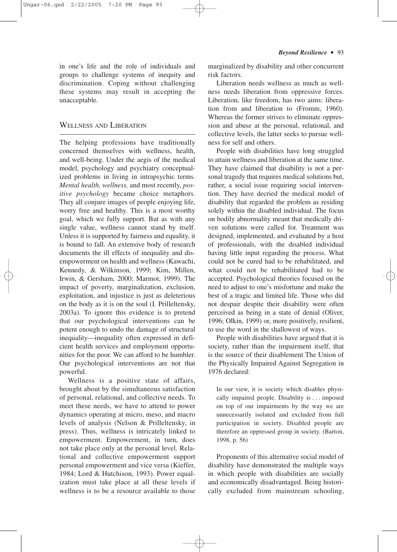in one's life and the role of individuals and groups to challenge systems of inequity and discrimination. Coping without challenging these systems may result in accepting the unacceptable.

# WELLNESS AND LIBERATION

The helping professions have traditionally concerned themselves with wellness, health, and well-being. Under the aegis of the medical model, psychology and psychiatry conceptualized problems in living in intrapsychic terms. *Mental health, wellness,* and most recently, *positive psychology* became choice metaphors. They all conjure images of people enjoying life, worry free and healthy. This is a most worthy goal, which we fully support. But as with any single value, wellness cannot stand by itself. Unless it is supported by fairness and equality, it is bound to fall. An extensive body of research documents the ill effects of inequality and disempowerment on health and wellness (Kawachi, Kennedy, & Wilkinson, 1999; Kim, Millen, Irwin, & Gersham, 2000; Marmot, 1999). The impact of poverty, marginalization, exclusion, exploitation, and injustice is just as deleterious on the body as it is on the soul (I. Prilleltensky, 2003a). To ignore this evidence is to pretend that our psychological interventions can be potent enough to undo the damage of structural inequality—inequality often expressed in deficient health services and employment opportunities for the poor. We can afford to be humbler. Our psychological interventions are not that powerful.

Wellness is a positive state of affairs, brought about by the simultaneous satisfaction of personal, relational, and collective needs. To meet these needs, we have to attend to power dynamics operating at micro, meso, and macro levels of analysis (Nelson & Prilleltensky, in press). Thus, wellness is intricately linked to empowerment. Empowerment, in turn, does not take place only at the personal level. Relational and collective empowerment support personal empowerment and vice versa (Kieffer, 1984; Lord & Hutchison, 1993). Power equalization must take place at all these levels if wellness is to be a resource available to those marginalized by disability and other concurrent risk factors.

Liberation needs wellness as much as wellness needs liberation from oppressive forces. Liberation, like freedom, has two aims: liberation from and liberation to (Fromm, 1960). Whereas the former strives to eliminate oppression and abuse at the personal, relational, and collective levels, the latter seeks to pursue wellness for self and others.

People with disabilities have long struggled to attain wellness and liberation at the same time. They have claimed that disability is not a personal tragedy that requires medical solutions but, rather, a social issue requiring social intervention. They have decried the medical model of disability that regarded the problem as residing solely within the disabled individual. The focus on bodily abnormality meant that medically driven solutions were called for. Treatment was designed, implemented, and evaluated by a host of professionals, with the disabled individual having little input regarding the process. What could not be cured had to be rehabilitated, and what could not be rehabilitated had to be accepted. Psychological theories focused on the need to adjust to one's misfortune and make the best of a tragic and limited life. Those who did not despair despite their disability were often perceived as being in a state of denial (Oliver, 1996; Olkin, 1999) or, more positively, resilient, to use the word in the shallowest of ways.

People with disabilities have argued that it is society, rather than the impairment itself, that is the source of their disablement The Union of the Physically Impaired Against Segregation in 1976 declared:

In our view, it is society which disables physically impaired people. Disability is... imposed on top of our impairments by the way we are unnecessarily isolated and excluded from full participation in society. Disabled people are therefore an oppressed group in society. (Barton, 1998, p. 56)

Proponents of this alternative social model of disability have demonstrated the multiple ways in which people with disabilities are socially and economically disadvantaged. Being historically excluded from mainstream schooling,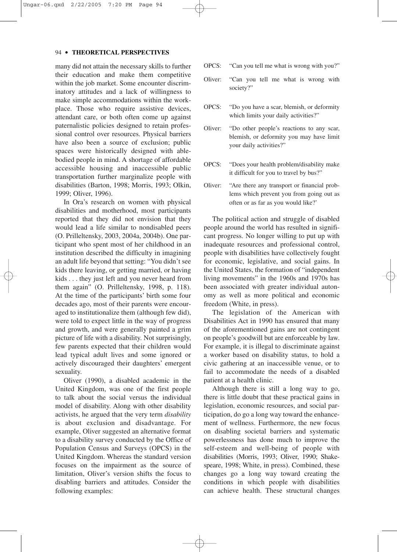many did not attain the necessary skills to further their education and make them competitive within the job market. Some encounter discriminatory attitudes and a lack of willingness to make simple accommodations within the workplace. Those who require assistive devices, attendant care, or both often come up against paternalistic policies designed to retain professional control over resources. Physical barriers have also been a source of exclusion; public spaces were historically designed with ablebodied people in mind. A shortage of affordable accessible housing and inaccessible public transportation further marginalize people with disabilities (Barton, 1998; Morris, 1993; Olkin, 1999; Oliver, 1996).

In Ora's research on women with physical disabilities and motherhood, most participants reported that they did not envision that they would lead a life similar to nondisabled peers (O. Prilleltensky, 2003, 2004a, 2004b). One participant who spent most of her childhood in an institution described the difficulty in imagining an adult life beyond that setting: "You didn't see kids there leaving, or getting married, or having kids . . . they just left and you never heard from them again" (O. Prilleltensky, 1998, p. 118). At the time of the participants' birth some four decades ago, most of their parents were encouraged to institutionalize them (although few did), were told to expect little in the way of progress and growth, and were generally painted a grim picture of life with a disability. Not surprisingly, few parents expected that their children would lead typical adult lives and some ignored or actively discouraged their daughters' emergent sexuality.

Oliver (1990), a disabled academic in the United Kingdom, was one of the first people to talk about the social versus the individual model of disability. Along with other disability activists, he argued that the very term *disability* is about exclusion and disadvantage. For example, Oliver suggested an alternative format to a disability survey conducted by the Office of Population Census and Surveys (OPCS) in the United Kingdom. Whereas the standard version focuses on the impairment as the source of limitation, Oliver's version shifts the focus to disabling barriers and attitudes. Consider the following examples:

OPCS: "Can you tell me what is wrong with you?"

- Oliver: "Can you tell me what is wrong with society?"
- OPCS: "Do you have a scar, blemish, or deformity which limits your daily activities?"
- Oliver: "Do other people's reactions to any scar, blemish, or deformity you may have limit your daily activities?"
- OPCS: "Does your health problem/disability make it difficult for you to travel by bus?"
- Oliver: "Are there any transport or financial problems which prevent you from going out as often or as far as you would like?'

The political action and struggle of disabled people around the world has resulted in significant progress. No longer willing to put up with inadequate resources and professional control, people with disabilities have collectively fought for economic, legislative, and social gains. In the United States, the formation of "independent living movements" in the 1960s and 1970s has been associated with greater individual autonomy as well as more political and economic freedom (White, in press).

The legislation of the American with Disabilities Act in 1990 has ensured that many of the aforementioned gains are not contingent on people's goodwill but are enforceable by law. For example, it is illegal to discriminate against a worker based on disability status, to hold a civic gathering at an inaccessible venue, or to fail to accommodate the needs of a disabled patient at a health clinic.

Although there is still a long way to go, there is little doubt that these practical gains in legislation, economic resources, and social participation, do go a long way toward the enhancement of wellness. Furthermore, the new focus on disabling societal barriers and systematic powerlessness has done much to improve the self-esteem and well-being of people with disabilities (Morris, 1993; Oliver, 1990; Shakespeare, 1998; White, in press). Combined, these changes go a long way toward creating the conditions in which people with disabilities can achieve health. These structural changes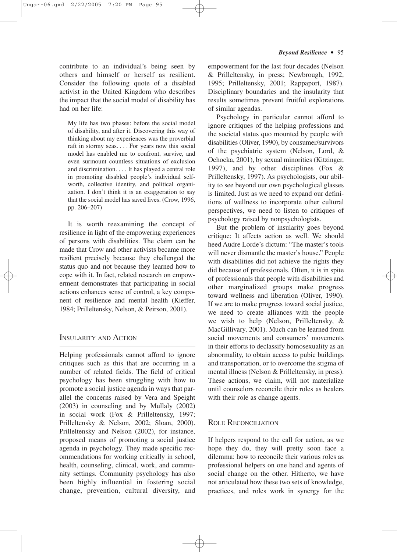contribute to an individual's being seen by others and himself or herself as resilient. Consider the following quote of a disabled activist in the United Kingdom who describes the impact that the social model of disability has had on her life:

My life has two phases: before the social model of disability, and after it. Discovering this way of thinking about my experiences was the proverbial raft in stormy seas. . . . For years now this social model has enabled me to confront, survive, and even surmount countless situations of exclusion and discrimination. . . . It has played a central role in promoting disabled people's individual selfworth, collective identity, and political organization. I don't think it is an exaggeration to say that the social model has saved lives. (Crow, 1996, pp. 206–207)

It is worth reexamining the concept of resilience in light of the empowering experiences of persons with disabilities. The claim can be made that Crow and other activists became more resilient precisely because they challenged the status quo and not because they learned how to cope with it. In fact, related research on empowerment demonstrates that participating in social actions enhances sense of control, a key component of resilience and mental health (Kieffer, 1984; Prilleltensky, Nelson, & Peirson, 2001).

## INSULARITY AND ACTION

Helping professionals cannot afford to ignore critiques such as this that are occurring in a number of related fields. The field of critical psychology has been struggling with how to promote a social justice agenda in ways that parallel the concerns raised by Vera and Speight (2003) in counseling and by Mullaly (2002) in social work (Fox & Prilleltensky, 1997; Prilleltensky & Nelson, 2002; Sloan, 2000). Prilleltensky and Nelson (2002), for instance, proposed means of promoting a social justice agenda in psychology. They made specific recommendations for working critically in school, health, counseling, clinical, work, and community settings. Community psychology has also been highly influential in fostering social change, prevention, cultural diversity, and empowerment for the last four decades (Nelson & Prilleltensky, in press; Newbrough, 1992, 1995; Prilleltensky, 2001; Rappaport, 1987). Disciplinary boundaries and the insularity that results sometimes prevent fruitful explorations of similar agendas.

Psychology in particular cannot afford to ignore critiques of the helping professions and the societal status quo mounted by people with disabilities (Oliver, 1990), by consumer/survivors of the psychiatric system (Nelson, Lord, & Ochocka, 2001), by sexual minorities (Kitzinger, 1997), and by other disciplines (Fox & Prilleltensky, 1997). As psychologists, our ability to see beyond our own psychological glasses is limited. Just as we need to expand our definitions of wellness to incorporate other cultural perspectives, we need to listen to critiques of psychology raised by nonpsychologists.

But the problem of insularity goes beyond critique: It affects action as well. We should heed Audre Lorde's dictum: "The master's tools will never dismantle the master's house." People with disabilities did not achieve the rights they did because of professionals. Often, it is in spite of professionals that people with disabilities and other marginalized groups make progress toward wellness and liberation (Oliver, 1990). If we are to make progress toward social justice, we need to create alliances with the people we wish to help (Nelson, Prilleltensky, & MacGillivary, 2001). Much can be learned from social movements and consumers' movements in their efforts to declassify homosexuality as an abnormality, to obtain access to pubic buildings and transportation, or to overcome the stigma of mental illness (Nelson & Prilleltensky, in press). These actions, we claim, will not materialize until counselors reconcile their roles as healers with their role as change agents.

## ROLE RECONCILIATION

If helpers respond to the call for action, as we hope they do, they will pretty soon face a dilemma: how to reconcile their various roles as professional helpers on one hand and agents of social change on the other. Hitherto, we have not articulated how these two sets of knowledge, practices, and roles work in synergy for the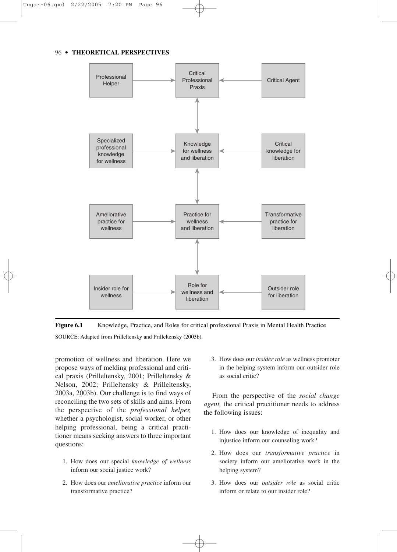

**Figure 6.1** Knowledge, Practice, and Roles for critical professional Praxis in Mental Health Practice SOURCE: Adapted from Prilleltensky and Prilleltensky (2003b).

promotion of wellness and liberation. Here we propose ways of melding professional and critical praxis (Prilleltensky, 2001; Prilleltensky & Nelson, 2002; Prilleltensky & Prilleltensky, 2003a, 2003b). Our challenge is to find ways of reconciling the two sets of skills and aims. From the perspective of the *professional helper,* whether a psychologist, social worker, or other helping professional, being a critical practitioner means seeking answers to three important questions:

- 1. How does our special *knowledge of wellness* inform our social justice work?
- 2. How does our *ameliorative practice* inform our transformative practice?

3. How does our *insider role* as wellness promoter in the helping system inform our outsider role as social critic?

From the perspective of the *social change agent,* the critical practitioner needs to address the following issues:

- 1. How does our knowledge of inequality and injustice inform our counseling work?
- 2. How does our *transformative practice* in society inform our ameliorative work in the helping system?
- 3. How does our *outsider role* as social critic inform or relate to our insider role?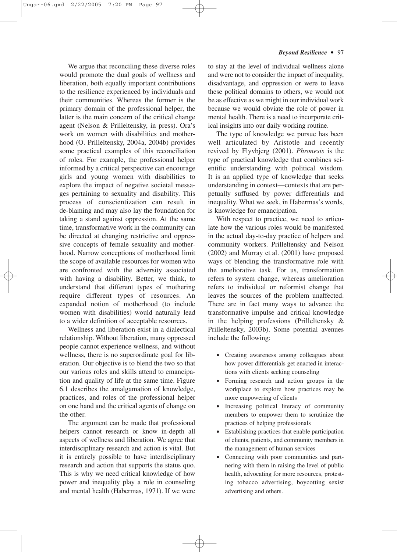We argue that reconciling these diverse roles would promote the dual goals of wellness and liberation, both equally important contributions to the resilience experienced by individuals and their communities. Whereas the former is the primary domain of the professional helper, the latter is the main concern of the critical change agent (Nelson & Prilleltensky, in press). Ora's work on women with disabilities and motherhood (O. Prilleltensky, 2004a, 2004b) provides some practical examples of this reconciliation of roles. For example, the professional helper informed by a critical perspective can encourage girls and young women with disabilities to explore the impact of negative societal messages pertaining to sexuality and disability. This process of conscientization can result in de-blaming and may also lay the foundation for taking a stand against oppression. At the same time, transformative work in the community can be directed at changing restrictive and oppressive concepts of female sexuality and motherhood. Narrow conceptions of motherhood limit the scope of available resources for women who are confronted with the adversity associated with having a disability. Better, we think, to understand that different types of mothering require different types of resources. An expanded notion of motherhood (to include women with disabilities) would naturally lead to a wider definition of acceptable resources.

Wellness and liberation exist in a dialectical relationship. Without liberation, many oppressed people cannot experience wellness, and without wellness, there is no superordinate goal for liberation. Our objective is to blend the two so that our various roles and skills attend to emancipation and quality of life at the same time. Figure 6.1 describes the amalgamation of knowledge, practices, and roles of the professional helper on one hand and the critical agents of change on the other.

The argument can be made that professional helpers cannot research or know in-depth all aspects of wellness and liberation. We agree that interdisciplinary research and action is vital. But it is entirely possible to have interdisciplinary research and action that supports the status quo. This is why we need critical knowledge of how power and inequality play a role in counseling and mental health (Habermas, 1971). If we were

#### *Beyond Resilience*–•–97

to stay at the level of individual wellness alone and were not to consider the impact of inequality, disadvantage, and oppression or were to leave these political domains to others, we would not be as effective as we might in our individual work because we would obviate the role of power in mental health. There is a need to incorporate critical insights into our daily working routine.

The type of knowledge we pursue has been well articulated by Aristotle and recently revived by Flyvbjerg (2001). *Phronesis* is the type of practical knowledge that combines scientific understanding with political wisdom. It is an applied type of knowledge that seeks understanding in context—contexts that are perpetually suffused by power differentials and inequality. What we seek, in Habermas's words, is knowledge for emancipation.

With respect to practice, we need to articulate how the various roles would be manifested in the actual day-to-day practice of helpers and community workers. Prilleltensky and Nelson (2002) and Murray et al. (2001) have proposed ways of blending the transformative role with the ameliorative task. For us, transformation refers to system change, whereas amelioration refers to individual or reformist change that leaves the sources of the problem unaffected. There are in fact many ways to advance the transformative impulse and critical knowledge in the helping professions (Prilleltensky & Prilleltensky, 2003b). Some potential avenues include the following:

- Creating awareness among colleagues about how power differentials get enacted in interactions with clients seeking counseling
- Forming research and action groups in the workplace to explore how practices may be more empowering of clients
- Increasing political literacy of community members to empower them to scrutinize the practices of helping professionals
- Establishing practices that enable participation of clients, patients, and community members in the management of human services
- Connecting with poor communities and partnering with them in raising the level of public health, advocating for more resources, protesting tobacco advertising, boycotting sexist advertising and others.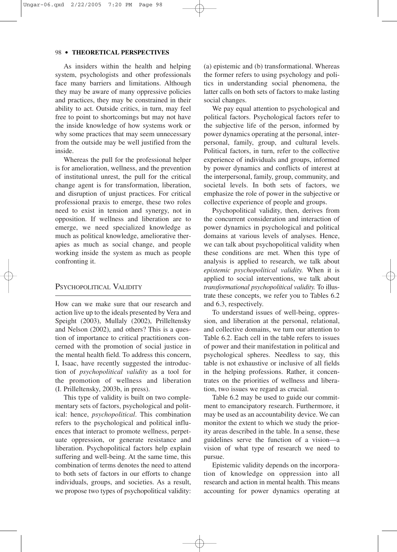As insiders within the health and helping system, psychologists and other professionals face many barriers and limitations. Although they may be aware of many oppressive policies and practices, they may be constrained in their ability to act. Outside critics, in turn, may feel free to point to shortcomings but may not have the inside knowledge of how systems work or why some practices that may seem unnecessary from the outside may be well justified from the inside.

Whereas the pull for the professional helper is for amelioration, wellness, and the prevention of institutional unrest, the pull for the critical change agent is for transformation, liberation, and disruption of unjust practices. For critical professional praxis to emerge, these two roles need to exist in tension and synergy, not in opposition. If wellness and liberation are to emerge, we need specialized knowledge as much as political knowledge, ameliorative therapies as much as social change, and people working inside the system as much as people confronting it.

# PSYCHOPOLITICAL VALIDITY

How can we make sure that our research and action live up to the ideals presented by Vera and Speight (2003), Mullaly (2002), Prilleltensky and Nelson (2002), and others? This is a question of importance to critical practitioners concerned with the promotion of social justice in the mental health field. To address this concern, I, Isaac, have recently suggested the introduction of *psychopolitical validity* as a tool for the promotion of wellness and liberation (I. Prilleltensky, 2003b, in press).

This type of validity is built on two complementary sets of factors, psychological and political: hence, *psychopolitical*. This combination refers to the psychological and political influences that interact to promote wellness, perpetuate oppression, or generate resistance and liberation. Psychopolitical factors help explain suffering and well-being. At the same time, this combination of terms denotes the need to attend to both sets of factors in our efforts to change individuals, groups, and societies. As a result, we propose two types of psychopolitical validity:

(a) epistemic and (b) transformational. Whereas the former refers to using psychology and politics in understanding social phenomena, the latter calls on both sets of factors to make lasting social changes.

We pay equal attention to psychological and political factors. Psychological factors refer to the subjective life of the person, informed by power dynamics operating at the personal, interpersonal, family, group, and cultural levels. Political factors, in turn, refer to the collective experience of individuals and groups, informed by power dynamics and conflicts of interest at the interpersonal, family, group, community, and societal levels. In both sets of factors, we emphasize the role of power in the subjective or collective experience of people and groups.

Psychopolitical validity, then, derives from the concurrent consideration and interaction of power dynamics in psychological and political domains at various levels of analyses. Hence, we can talk about psychopolitical validity when these conditions are met. When this type of analysis is applied to research, we talk about *epistemic psychopolitical validity.* When it is applied to social interventions, we talk about *transformational psychopolitical validity.* To illustrate these concepts, we refer you to Tables 6.2 and 6.3, respectively.

To understand issues of well-being, oppression, and liberation at the personal, relational, and collective domains, we turn our attention to Table 6.2. Each cell in the table refers to issues of power and their manifestation in political and psychological spheres. Needless to say, this table is not exhaustive or inclusive of all fields in the helping professions. Rather, it concentrates on the priorities of wellness and liberation, two issues we regard as crucial.

Table 6.2 may be used to guide our commitment to emancipatory research. Furthermore, it may be used as an accountability device. We can monitor the extent to which we study the priority areas described in the table. In a sense, these guidelines serve the function of a vision—a vision of what type of research we need to pursue.

Epistemic validity depends on the incorporation of knowledge on oppression into all research and action in mental health. This means accounting for power dynamics operating at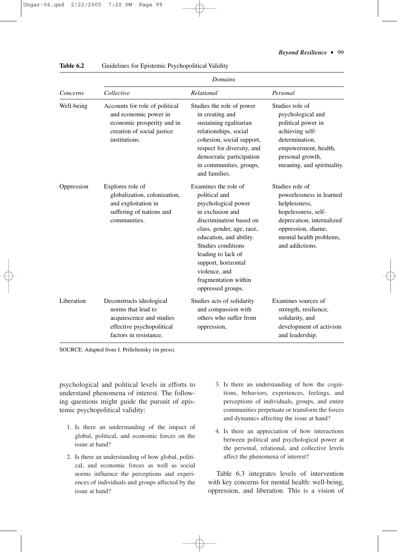|            | Domains                                                                                                                              |                                                                                                                                                                                                                                                                                                      |                                                                                                                                                                                      |  |  |
|------------|--------------------------------------------------------------------------------------------------------------------------------------|------------------------------------------------------------------------------------------------------------------------------------------------------------------------------------------------------------------------------------------------------------------------------------------------------|--------------------------------------------------------------------------------------------------------------------------------------------------------------------------------------|--|--|
| Concerns   | Collective                                                                                                                           | Relational                                                                                                                                                                                                                                                                                           | Personal                                                                                                                                                                             |  |  |
| Well-being | Accounts for role of political<br>and economic power in<br>economic prosperity and in<br>creation of social justice<br>institutions. | Studies the role of power<br>in creating and<br>sustaining egalitarian<br>relationships, social<br>cohesion, social support,<br>respect for diversity, and<br>democratic participation<br>in communities, groups,<br>and families.                                                                   | Studies role of<br>psychological and<br>political power in<br>achieving self-<br>determination,<br>empowerment, health,<br>personal growth,<br>meaning, and spirituality.            |  |  |
| Oppression | Explores role of<br>globalization, colonization,<br>and exploitation in<br>suffering of nations and<br>communities.                  | Examines the role of<br>political and<br>psychological power<br>in exclusion and<br>discrimination based on<br>class, gender, age, race,<br>education, and ability.<br>Studies conditions<br>leading to lack of<br>support, horizontal<br>violence, and<br>fragmentation within<br>oppressed groups. | Studies role of<br>powerlessness in learned<br>helplessness,<br>hopelessness, self-<br>deprecation, internalized<br>oppression, shame,<br>mental health problems,<br>and addictions. |  |  |
| Liberation | Deconstructs ideological<br>norms that lead to<br>acquiescence and studies<br>effective psychopolitical<br>factors in resistance.    | Studies acts of solidarity<br>and compassion with<br>others who suffer from<br>oppression,                                                                                                                                                                                                           | Examines sources of<br>strength, resilience,<br>solidarity, and<br>development of activism<br>and leadership.                                                                        |  |  |

*Domains*

| Table 6.2 |  |  | Guidelines for Epistemic Psychopolitical Validity |  |
|-----------|--|--|---------------------------------------------------|--|
|-----------|--|--|---------------------------------------------------|--|

SOURCE: Adapted from I. Prilleltensky (in press).

psychological and political levels in efforts to understand phenomena of interest. The following questions might guide the pursuit of epistemic psychopolitical validity:

- 1. Is there an understanding of the impact of global, political, and economic forces on the issue at hand?
- 2. Is there an understanding of how global, political, and economic forces as well as social norms influence the perceptions and experiences of individuals and groups affected by the issue at hand?
- 3. Is there an understanding of how the cognitions, behaviors, experiences, feelings, and perceptions of individuals, groups, and entire communities perpetuate or transform the forces and dynamics affecting the issue at hand?
- 4. Is there an appreciation of how interactions between political and psychological power at the personal, relational, and collective levels affect the phenomena of interest?

Table 6.3 integrates levels of intervention with key concerns for mental health: well-being, oppression, and liberation. This is a vision of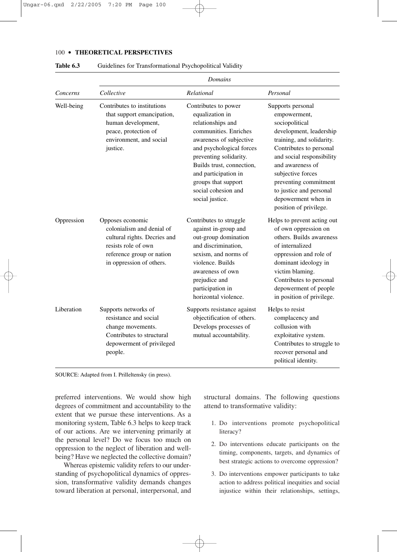|            | Domains                                                                                                                                                       |                                                                                                                                                                                                                                                                                              |                                                                                                                                                                                                                                                                                                                   |
|------------|---------------------------------------------------------------------------------------------------------------------------------------------------------------|----------------------------------------------------------------------------------------------------------------------------------------------------------------------------------------------------------------------------------------------------------------------------------------------|-------------------------------------------------------------------------------------------------------------------------------------------------------------------------------------------------------------------------------------------------------------------------------------------------------------------|
| Concerns   | Collective                                                                                                                                                    | Relational                                                                                                                                                                                                                                                                                   | Personal                                                                                                                                                                                                                                                                                                          |
| Well-being | Contributes to institutions<br>that support emancipation,<br>human development,<br>peace, protection of<br>environment, and social<br>justice.                | Contributes to power<br>equalization in<br>relationships and<br>communities. Enriches<br>awareness of subjective<br>and psychological forces<br>preventing solidarity.<br>Builds trust, connection,<br>and participation in<br>groups that support<br>social cohesion and<br>social justice. | Supports personal<br>empowerment,<br>sociopolitical<br>development, leadership<br>training, and solidarity.<br>Contributes to personal<br>and social responsibility<br>and awareness of<br>subjective forces<br>preventing commitment<br>to justice and personal<br>depowerment when in<br>position of privilege. |
| Oppression | Opposes economic<br>colonialism and denial of<br>cultural rights. Decries and<br>resists role of own<br>reference group or nation<br>in oppression of others. | Contributes to struggle<br>against in-group and<br>out-group domination<br>and discrimination.<br>sexism, and norms of<br>violence. Builds<br>awareness of own<br>prejudice and<br>participation in<br>horizontal violence.                                                                  | Helps to prevent acting out<br>of own oppression on<br>others. Builds awareness<br>of internalized<br>oppression and role of<br>dominant ideology in<br>victim blaming.<br>Contributes to personal<br>depowerment of people<br>in position of privilege.                                                          |
| Liberation | Supports networks of<br>resistance and social<br>change movements.<br>Contributes to structural<br>depowerment of privileged<br>people.                       | Supports resistance against<br>objectification of others.<br>Develops processes of<br>mutual accountability.                                                                                                                                                                                 | Helps to resist<br>complacency and<br>collusion with<br>exploitative system.<br>Contributes to struggle to<br>recover personal and<br>political identity.                                                                                                                                                         |

### Table 6.3 Guidelines for Transformational Psychopolitical Validity

SOURCE: Adapted from I. Prilleltensky (in press).

preferred interventions. We would show high degrees of commitment and accountability to the extent that we pursue these interventions. As a monitoring system, Table 6.3 helps to keep track of our actions. Are we intervening primarily at the personal level? Do we focus too much on oppression to the neglect of liberation and wellbeing? Have we neglected the collective domain?

Whereas epistemic validity refers to our understanding of psychopolitical dynamics of oppression, transformative validity demands changes toward liberation at personal, interpersonal, and structural domains. The following questions attend to transformative validity:

- 1. Do interventions promote psychopolitical literacy?
- 2. Do interventions educate participants on the timing, components, targets, and dynamics of best strategic actions to overcome oppression?
- 3. Do interventions empower participants to take action to address political inequities and social injustice within their relationships, settings,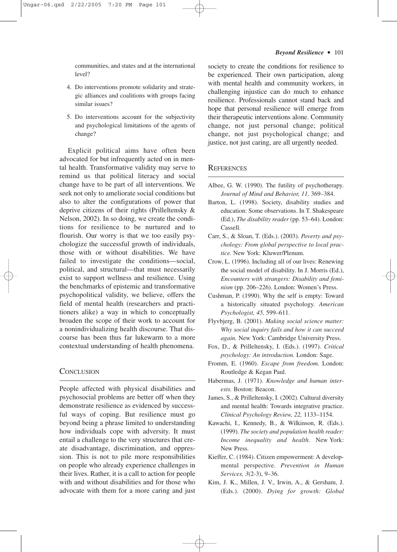#### *Beyond Resilience*–•–101

communities, and states and at the international level?

- 4. Do interventions promote solidarity and strategic alliances and coalitions with groups facing similar issues?
- 5. Do interventions account for the subjectivity and psychological limitations of the agents of change?

Explicit political aims have often been advocated for but infrequently acted on in mental health. Transformative validity may serve to remind us that political literacy and social change have to be part of all interventions. We seek not only to ameliorate social conditions but also to alter the configurations of power that deprive citizens of their rights (Prilleltensky & Nelson, 2002). In so doing, we create the conditions for resilience to be nurtured and to flourish. Our worry is that we too easily psychologize the successful growth of individuals, those with or without disabilities. We have failed to investigate the conditions—social, political, and structural—that must necessarily exist to support wellness and resilience. Using the benchmarks of epistemic and transformative psychopolitical validity, we believe, offers the field of mental health (researchers and practitioners alike) a way in which to conceptually broaden the scope of their work to account for a nonindividualizing health discourse. That discourse has been thus far lukewarm to a more contextual understanding of health phenomena.

# **CONCLUSION**

People affected with physical disabilities and psychosocial problems are better off when they demonstrate resilience as evidenced by successful ways of coping. But resilience must go beyond being a phrase limited to understanding how individuals cope with adversity. It must entail a challenge to the very structures that create disadvantage, discrimination, and oppression. This is not to pile more responsibilities on people who already experience challenges in their lives. Rather, it is a call to action for people with and without disabilities and for those who advocate with them for a more caring and just society to create the conditions for resilience to be experienced. Their own participation, along with mental health and community workers, in challenging injustice can do much to enhance resilience. Professionals cannot stand back and hope that personal resilience will emerge from their therapeutic interventions alone. Community change, not just personal change; political change, not just psychological change; and justice, not just caring, are all urgently needed.

### **REFERENCES**

- Albee, G. W. (1990). The futility of psychotherapy. *Journal of Mind and Behavior, 11,* 369–384.
- Barton, L. (1998). Society, disability studies and education: Some observations. In T. Shakespeare (Ed.), *The disability reader* (pp. 53–64). London: Cassell.
- Carr, S., & Sloan, T. (Eds.). (2003). *Poverty and psychology: From global perspective to local practice.* New York: Kluwer/Plenum.
- Crow, L. (1996). Including all of our lives: Renewing the social model of disability. In J. Morris (Ed.), *Encounters with strangers: Disability and feminism* (pp. 206–226). London: Women's Press.
- Cushman, P. (1990). Why the self is empty: Toward a historically situated psychology. *American Psychologist, 45,* 599–611.
- Flyvbjerg, B. (2001). *Making social science matter: Why social inquiry fails and how it can succeed again.* New York: Cambridge University Press.
- Fox, D., & Prilleltensky, I. (Eds.). (1997). *Critical psychology: An introduction.* London: Sage.
- Fromm, E. (1960). *Escape from freedom.* London: Routledge & Kegan Paul.
- Habermas, J. (1971). *Knowledge and human interests.* Boston: Beacon.
- James, S., & Prilleltensky, I. (2002). Cultural diversity and mental health: Towards integrative practice. *Clinical Psychology Review, 22,* 1133–1154.
- Kawachi, I., Kennedy, B., & Wilkinson, R. (Eds.). (1999). *The society and population health reader: Income inequality and health.* New York: New Press.
- Kieffer, C. (1984). Citizen empowerment: A developmental perspective. *Prevention in Human Services, 3*(2-3), 9–36.
- Kim, J. K., Millen, J. V., Irwin, A., & Gersham, J. (Eds.). (2000). *Dying for growth: Global*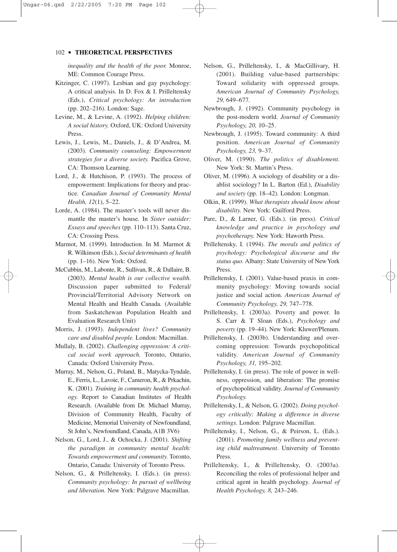*inequality and the health of the poor.* Monroe, ME: Common Courage Press.

- Kitzinger, C. (1997). Lesbian and gay psychology: A critical analysis. In D. Fox & I. Prilleltensky (Eds.), *Critical psychology: An introduction* (pp. 202–216). London: Sage.
- Levine, M., & Levine, A. (1992). *Helping children: A social history.* Oxford, UK: Oxford University Press.
- Lewis, J., Lewis, M., Daniels, J., & D'Andrea, M. (2003). *Community counseling: Empowerment strategies for a diverse society.* Pacifica Grove, CA: Thomson Learning.
- Lord, J., & Hutchison, P. (1993). The process of empowerment: Implications for theory and practice. *Canadian Journal of Community Mental Health, 12*(1), 5–22.
- Lorde, A. (1984). The master's tools will never dismantle the master's house. In *Sister outsider: Essays and speeches* (pp. 110–113). Santa Cruz, CA: Crossing Press.
- Marmot, M. (1999). Introduction. In M. Marmot & R. Wilkinson (Eds.), *Social determinants of health* (pp. 1–16). New York: Oxford.
- McCubbin, M., Labonte, R., Sullivan, R., & Dallaire, B. (2003). *Mental health is our collective wealth.* Discussion paper submitted to Federal/ Provincial/Territorial Advisory Network on Mental Health and Health Canada. (Available from Saskatchewan Population Health and Evaluation Research Unit)
- Morris, J. (1993). *Independent lives? Community care and disabled people.* London: Macmillan.
- Mullaly, B. (2002). *Challenging oppression: A critical social work approach.* Toronto, Ontario, Canada: Oxford University Press.
- Murray, M., Nelson, G., Poland, B., Matycka-Tyndale, E., Ferris, L., Lavoie, F., Cameron, R., & Prkachin, K. (2001). *Training in community health psychology.* Report to Canadian Institutes of Health Research. (Available from Dr. Michael Murray, Division of Community Health, Faculty of Medicine, Memorial University of Newfoundland, St John's, Newfoundland, Canada, A1B 3V6)
- Nelson, G., Lord, J., & Ochocka, J. (2001). *Shifting the paradigm in community mental health: Towards empowerment and community.* Toronto, Ontario, Canada: University of Toronto Press.
- Nelson, G., & Prilleltensky, I. (Eds.). (in press). *Community psychology: In pursuit of wellbeing and liberation.* New York: Palgrave Macmillan.
- Nelson, G., Prilleltensky, I., & MacGillivary, H. (2001). Building value-based partnerships: Toward solidarity with oppressed groups. *American Journal of Community Psychology, 29,* 649–677.
- Newbrough, J. (1992). Community psychology in the post-modern world. *Journal of Community Psychology, 20,* 10–25.
- Newbrough, J. (1995). Toward community: A third position. *American Journal of Community Psychology, 23,* 9–37.
- Oliver, M. (1990). *The politics of disablement*. New York: St. Martin's Press.
- Oliver, M. (1996). A sociology of disability or a disablist sociology? In L. Barton (Ed.), *Disability and society* (pp. 18–42). London: Longman.
- Olkin, R. (1999). *What therapists should know about disability.* New York: Guilford Press.
- Pare, D., & Larner, G. (Eds.). (in press). *Critical knowledge and practice in psychology and psychotherapy.* New York: Haworth Press.
- Prilleltensky, I. (1994). *The morals and politics of psychology: Psychological discourse and the status quo.* Albany: State University of New York Press.
- Prilleltensky, I. (2001). Value-based praxis in community psychology: Moving towards social justice and social action. *American Journal of Community Psychology, 29,* 747–778.
- Prilleltensky, I. (2003a). Poverty and power. In S. Carr & T Sloan (Eds.), *Psychology and poverty* (pp. 19–44). New York: Kluwer/Plenum.
- Prilleltensky, I. (2003b). Understanding and overcoming oppression: Towards psychopolitical validity. *American Journal of Community Psychology, 31,* 195–202.
- Prilleltensky, I. (in press). The role of power in wellness, oppression, and liberation: The promise of psychopolitical validity. *Journal of Community Psychology.*
- Prilleltensky, I., & Nelson, G. (2002). *Doing psychology critically: Making a difference in diverse settings.* London: Palgrave Macmillan.
- Prilleltensky, I., Nelson, G., & Peirson, L. (Eds.). (2001). *Promoting family wellness and preventing child maltreatment*. University of Toronto Press.
- Prilleltensky, I., & Prilleltensky, O. (2003a). Reconciling the roles of professional helper and critical agent in health psychology. *Journal of Health Psychology, 8,* 243–246.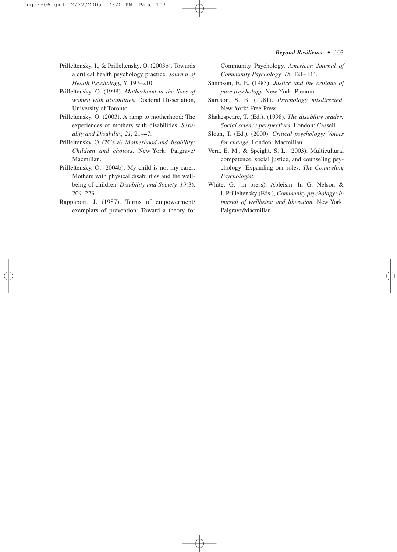#### *Beyond Resilience*–•–103

- Prilleltensky, I., & Prilleltensky, O. (2003b). Towards a critical health psychology practice. *Journal of Health Psychology, 8,* 197–210.
- Prilleltensky, O. (1998). *Motherhood in the lives of women with disabilities.* Doctoral Dissertation, University of Toronto.
- Prilleltensky, O. (2003). A ramp to motherhood: The experiences of mothers with disabilities. *Sexuality and Disability, 21,* 21–47.
- Prilleltensky, O. (2004a). *Motherhood and disability: Children and choices.* New York: Palgrave/ Macmillan.
- Prilleltensky, O. (2004b). My child is not my carer: Mothers with physical disabilities and the wellbeing of children. *Disability and Society, 19*(3), 209–223.
- Rappaport, J. (1987). Terms of empowerment/ exemplars of prevention: Toward a theory for

Community Psychology. *American Journal of Community Psychology, 15,* 121–144.

- Sampson, E. E. (1983). *Justice and the critique of pure psychology.* New York: Plenum.
- Sarason, S. B. (1981). *Psychology misdirected.* New York: Free Press.
- Shakespeare, T. (Ed.). (1998). *The disability reader: Social science perspectives.* London: Cassell.
- Sloan, T. (Ed.). (2000). *Critical psychology: Voices for change.* London: Macmillan.
- Vera, E. M., & Speight, S. L. (2003). Multicultural competence, social justice, and counseling psychology: Expanding our roles. *The Counseling Psychologist.*
- White, G. (in press). Ableism. In G. Nelson & I. Prilleltensky (Eds.), *Community psychology: In pursuit of wellbeing and liberation.* New York: Palgrave/Macmillan.